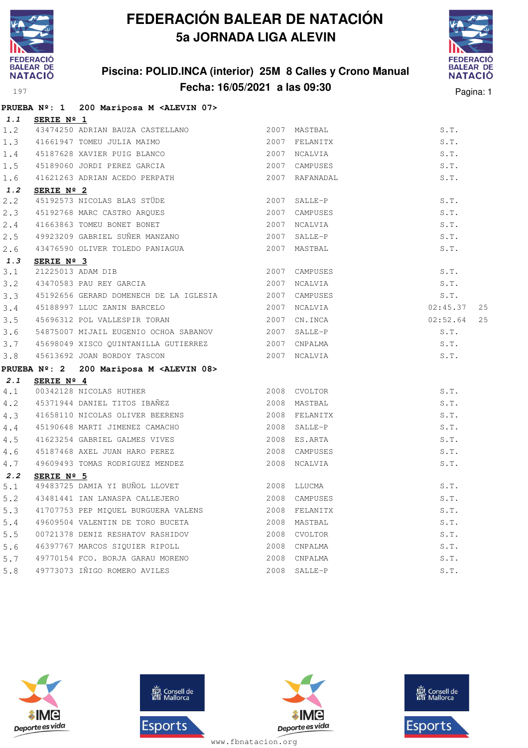

### **Piscina: POLID.INCA (interior) 25M 8 Calles y Crono Manual Fecha: 16/05/2021 a las 09:30** Pagina: 1



|     |            | PRUEBA Nº: 1 200 Mariposa M <alevin 07=""></alevin>               |              |                |                |
|-----|------------|-------------------------------------------------------------------|--------------|----------------|----------------|
| 1.1 | SERIE Nº 1 |                                                                   |              |                |                |
| 1.2 |            |                                                                   |              |                | S.T.           |
| 1.3 |            | 41661947 TOMEU JULIA MAIMO <b>Andrew SE AN ADAM</b> 2007 FELANITX |              |                | S.T.           |
| 1.4 |            | 45187628 XAVIER PUIG BLANCO 2007 NCALVIA                          |              |                | S.T.           |
| 1.5 |            | 45189060 JORDI PEREZ GARCIA                                       |              | 2007 CAMPUSES  | S.T.           |
| 1.6 |            | 41621263 ADRIAN ACEDO PERPATH                                     |              | 2007 RAFANADAL | S.T.           |
| 1.2 | SERIE Nº 2 |                                                                   |              |                |                |
| 2.2 |            | 45192573 NICOLAS BLAS STÜDE                                       |              | 2007 SALLE-P   | S.T.           |
| 2.3 |            | 45192768 MARC CASTRO ARQUES                                       |              | 2007 CAMPUSES  | S.T.           |
| 2.4 |            | 41663863 TOMEU BONET BONET                                        |              | 2007 NCALVIA   | S.T.           |
| 2.5 |            | 49923209 GABRIEL SUÑER MANZANO<br>2007 SALLE-P                    |              |                | S.T.           |
| 2.6 |            |                                                                   |              |                | S.T.           |
| 1.3 | SERIE Nº 3 |                                                                   |              |                |                |
| 3.1 |            | 21225013 ADAM DIB                                                 |              | 2007 CAMPUSES  | S.T.           |
| 3.2 |            | 2007 NCALVIA<br>43470583 PAU REY GARCIA                           |              |                | S.T.           |
| 3.3 |            | 45192656 GERARD DOMENECH DE LA IGLESIA 62007 CAMPUSES             |              |                | S.T.           |
| 3.4 |            | 45188997 LLUC ZANIN BARCELO 2007 NCALVIA                          |              |                | 02:45.37 25    |
| 3.5 |            | 45696312 POL VALLESPIR TORAN 2007 CN.INCA                         |              |                | 02:52.64<br>25 |
| 3.6 |            | 54875007 MIJAIL EUGENIO OCHOA SABANOV 2007 SALLE-P                |              |                | S.T.           |
| 3.7 |            | 45698049 XISCO QUINTANILLA GUTIERREZ 6007 CNPALMA                 |              |                | S.T.           |
| 3.8 |            | 45613692 JOAN BORDOY TASCON                                       | 2007 NCALVIA |                | S.T.           |
|     |            | PRUEBA Nº: 2 200 Mariposa M <alevin 08=""></alevin>               |              |                |                |
| 2.1 | SERIE Nº 4 |                                                                   |              |                |                |
| 4.1 |            | 00342128 NICOLAS HUTHER 2008 CVOLTOR                              |              |                | S.T.           |
| 4.2 |            |                                                                   |              |                | S.T.           |
| 4.3 |            | 41658110 NICOLAS OLIVER BEERENS                                   |              | 2008 FELANITX  | S.T.           |
| 4.4 |            | 45190648 MARTI JIMENEZ CAMACHO                                    |              | 2008 SALLE-P   | S.T.           |
| 4.5 |            | 41623254 GABRIEL GALMES VIVES                                     |              | 2008 ES.ARTA   | S.T.           |
| 4.6 |            | 45187468 AXEL JUAN HARO PEREZ 2008 CAMPUSES                       |              |                | S.T.           |
| 4.7 |            | 49609493 TOMAS RODRIGUEZ MENDEZ                                   |              | 2008 NCALVIA   | S.T.           |
| 2.2 | SERIE Nº 5 |                                                                   |              |                |                |
| 5.1 |            | 49483725 DAMIA YI BUÑOL LLOVET 2008 LLUCMA                        |              |                | S.T.           |
| 5.2 |            | 43481441 IAN LANASPA CALLEJERO 2008 CAMPUSES S.T.                 |              |                |                |
| 5.3 |            | 41707753 PEP MIOUEL BURGUERA VALENS                               |              | 2008 FELANITX  | S.T.           |
| 5.4 |            | 49609504 VALENTIN DE TORO BUCETA                                  | 2008         | MASTBAL        | S.T.           |
| 5.5 |            | 00721378 DENIZ RESHATOV RASHIDOV                                  | 2008         | CVOLTOR        | S.T.           |
| 5.6 |            | 46397767 MARCOS SIQUIER RIPOLL                                    | 2008         | CNPALMA        | S.T.           |
| 5.7 |            | 49770154 FCO. BORJA GARAU MORENO                                  | 2008         | CNPALMA        | S.T.           |
| 5.8 |            | 49773073 IÑIGO ROMERO AVILES                                      | 2008         | SALLE-P        | S.T.           |







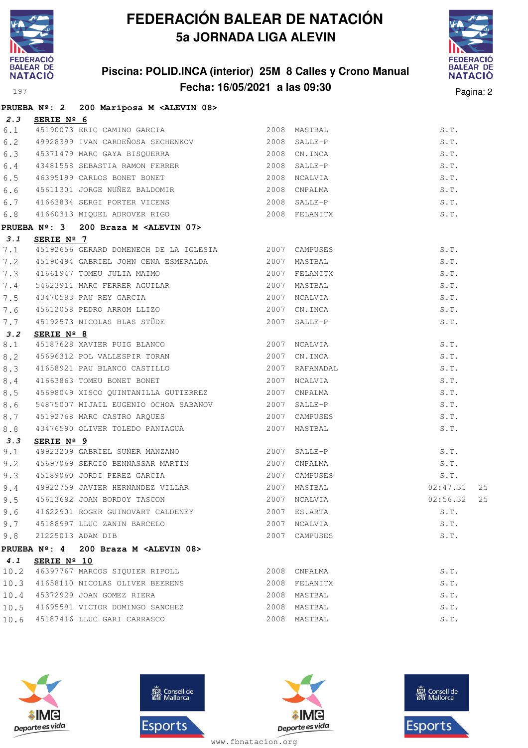

### **Piscina: POLID.INCA (interior) 25M 8 Calles y Crono Manual Fecha: 16/05/2021 a las 09:30** Pagina: 2



|      |             | PRUEBA Nº: 2 200 Mariposa M <alevin 08=""></alevin>                                                 |               |                    |
|------|-------------|-----------------------------------------------------------------------------------------------------|---------------|--------------------|
| 2.3  | SERIE Nº 6  |                                                                                                     |               |                    |
| 6.1  |             | 2008 MASTBAL<br>45190073 ERIC CAMINO GARCIA                                                         |               | S.T.               |
| 6.2  |             | 49928399 IVAN CARDEÑOSA SECHENKOV (2008 SALLE-P                                                     |               | S.T.               |
|      |             | 6.3 45371479 MARC GAYA BISQUERRA (2008 CN.INCA)<br>6.4 43481558 SEBASTIA RAMON FERRER (2008 SALLE-P |               | S.T.               |
|      |             |                                                                                                     |               | S.T.               |
| 6.5  |             | 46395199 CARLOS BONET BONET 6000 MCALVIA                                                            |               | S.T.               |
| 6.6  |             | 45611301 JORGE NUÑEZ BALDOMIR 2008 CNPALMA                                                          |               | S.T.               |
| 6.7  |             | 41663834 SERGI PORTER VICENS 2008 SALLE-P                                                           |               | S.T.               |
| 6.8  |             | 41660313 MIQUEL ADROVER RIGO 2008 FELANITX                                                          |               | S.T.               |
|      |             | PRUEBA Nº: 3 200 Braza M <alevin 07=""></alevin>                                                    |               |                    |
| 3.1  | SERIE Nº 7  |                                                                                                     |               |                    |
| 7.1  |             | 45192656 GERARD DOMENECH DE LA IGLESIA 2007 CAMPUSES                                                |               | S.T.               |
| 7.2  |             | 45190494 GABRIEL JOHN CENA ESMERALDA 62007 MASTBAL                                                  |               | S.T.               |
| 7.3  |             |                                                                                                     |               | S.T.               |
| 7.4  |             |                                                                                                     |               | S.T.               |
| 7.5  |             |                                                                                                     | 2007 NCALVIA  | S.T.               |
| 7.6  |             |                                                                                                     | 2007 CN.INCA  | S.T.               |
| 7.7  |             | 43470583 PAU REY GARCIA<br>45612058 PEDRO ARROM LLIZO<br>45192573 NICOLAS BLAS STÜDE                | 2007 SALLE-P  | S.T.               |
| 3.2  |             |                                                                                                     |               |                    |
| 8.1  |             |                                                                                                     |               | S.T.               |
| 8.2  |             |                                                                                                     |               | S.T.               |
| 8.3  |             |                                                                                                     |               | S.T.               |
| 8.4  |             |                                                                                                     |               | S.T.               |
| 8.5  |             | 45698049 XISCO QUINTANILLA GUTIERREZ 2007 CNPALMA                                                   |               | S.T.               |
| 8.6  |             | 54875007 MIJAIL EUGENIO OCHOA SABANOV 2007 SALLE-P                                                  |               | S.T.               |
| 8.7  |             | 45192768 MARC CASTRO ARQUES 2007 CAMPUSES                                                           |               | S.T.               |
| 8.8  |             |                                                                                                     |               | S.T.               |
| 3.3  | SERIE Nº 9  |                                                                                                     |               |                    |
| 9.1  |             | -<br>49923209 GABRIEL SUÑER MANZANO - 2007 SALLE-P                                                  |               | S.T.               |
| 9.2  |             | 45697069 SERGIO BENNASSAR MARTIN                                                                    | 2007 CNPALMA  | S.T.               |
| 9.3  |             | 45189060 JORDI PEREZ GARCIA 2007 CAMPUSES                                                           |               | S.T.               |
| 9.4  |             | 49922759 JAVIER HERNANDEZ VILLAR 2007 MASTBAL                                                       |               | 02:47.31<br>25     |
|      |             | 9.5 45613692 JOAN BORDOY TASCON 2007 NCALVIA 2007 NO MERCEDIA 202:56.32                             |               | 25                 |
| 9.6  |             | 41622901 ROGER GUINOVART CALDENEY                                                                   | 2007 ES.ARTA  | S.T.               |
|      |             | 9.7 45188997 LLUC ZANIN BARCELO                                                                     | 2007 NCALVIA  | $\texttt{S}$ . T . |
| 9.8  |             | 21225013 ADAM DIB                                                                                   | 2007 CAMPUSES | S.T.               |
|      |             | PRUEBA Nº: 4 200 Braza M <alevin 08=""></alevin>                                                    |               |                    |
| 4.1  | SERIE Nº 10 |                                                                                                     |               |                    |
| 10.2 |             | 46397767 MARCOS SIQUIER RIPOLL                                                                      | 2008 CNPALMA  | S.T.               |
| 10.3 |             | 41658110 NICOLAS OLIVER BEERENS                                                                     | 2008 FELANITX | S.T.               |
| 10.4 |             | 45372929 JOAN GOMEZ RIERA                                                                           | 2008 MASTBAL  | S.T.               |
|      |             | 10.5 41695591 VICTOR DOMINGO SANCHEZ                                                                | 2008 MASTBAL  | S.T.               |
| 10.6 |             | 45187416 LLUC GARI CARRASCO                                                                         | 2008 MASTBAL  | S.T.               |
|      |             |                                                                                                     |               |                    |







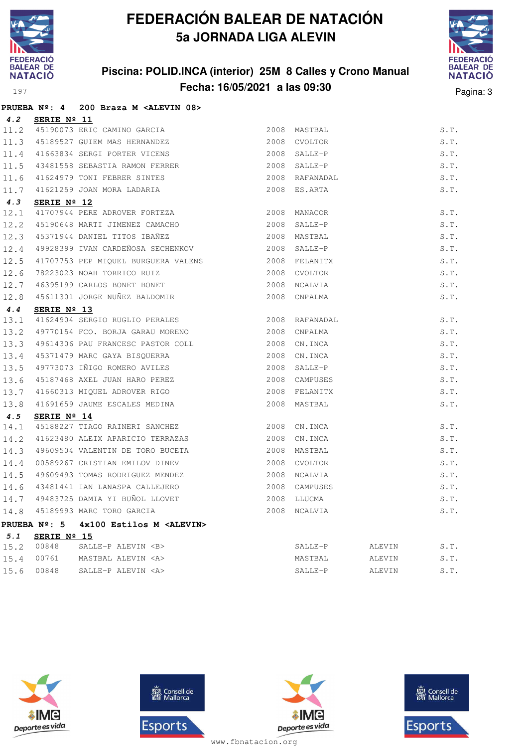

#### **Piscina: POLID.INCA (interior) 25M 8 Calles y Crono Manual Fecha: 16/05/2021 a las 09:30** Pagina: 3



|      |                      | PRUEBA Nº: 4 200 Braza M <alevin 08=""></alevin>                                                           |      |                |        |      |
|------|----------------------|------------------------------------------------------------------------------------------------------------|------|----------------|--------|------|
| 4.2  | SERIE Nº 11          |                                                                                                            |      |                |        |      |
|      |                      |                                                                                                            |      | 2008 MASTBAL   |        | S.T. |
|      |                      |                                                                                                            |      | 2008 CVOLTOR   |        | S.T. |
|      |                      | 11.2 45190073 ERIC CAMINO GARCIA<br>11.3 45189527 GUIEM MAS HERNANDEZ<br>11.4 41663834 SERGI PORTER VICENS | 2008 | SALLE-P        |        | S.T. |
| 11.5 |                      | 43481558 SEBASTIA RAMON FERRER                                                                             |      | 2008 SALLE-P   |        | S.T. |
| 11.6 |                      |                                                                                                            |      | 2008 RAFANADAL |        | S.T. |
| 11.7 |                      | 41624979 TONI FEBRER SINTES<br>41621259 JOAN MORA LADARIA                                                  |      | 2008 ES.ARTA   |        | S.T. |
| 4.3  | SERIE $N^{\circ}$ 12 |                                                                                                            |      |                |        |      |
| 12.1 |                      | 41707944 PERE ADROVER FORTEZA                                                                              | 2008 | MANACOR        |        | S.T. |
| 12.2 |                      | 45190648 MARTI JIMENEZ CAMACHO                                                                             | 2008 | SALLE-P        |        | S.T. |
| 12.3 |                      | 45371944 DANIEL TITOS IBAÑEZ                                                                               |      | 2008 MASTBAL   |        | S.T. |
| 12.4 |                      | 49928399 IVAN CARDEÑOSA SECHENKOV                                                                          |      | 2008 SALLE-P   |        | S.T. |
| 12.5 |                      | 41707753 PEP MIQUEL BURGUERA VALENS                                                                        |      | 2008 FELANITX  |        | S.T. |
| 12.6 |                      |                                                                                                            |      | 2008 CVOLTOR   |        | S.T. |
| 12.7 |                      | 1277<br>18223023 NOAH TORRICO RUIZ<br>46395199 CARLOS BONET BONET                                          |      | 2008 NCALVIA   |        | S.T. |
| 12.8 |                      | 45611301 JORGE NUÑEZ BALDOMIR                                                                              |      | 2008 CNPALMA   |        | S.T. |
| 4.4  | SERIE Nº 13          |                                                                                                            |      |                |        |      |
| 13.1 |                      | 41624904 SERGIO RUGLIO PERALES                                                                             |      | 2008 RAFANADAL |        | S.T. |
| 13.2 |                      | 49770154 FCO. BORJA GARAU MORENO 2008 CNPALMA                                                              |      |                |        | S.T. |
| 13.3 |                      | 49614306 PAU FRANCESC PASTOR COLL                                                                          |      | 2008 CN.INCA   |        | S.T. |
| 13.4 |                      | 45371479 MARC GAYA BISQUERRA                                                                               |      | 2008 CN.INCA   |        | S.T. |
| 13.5 |                      | 49773073 IÑIGO ROMERO AVILES                                                                               | 2008 | SALLE-P        |        | S.T. |
| 13.6 |                      | 45187468 AXEL JUAN HARO PEREZ                                                                              |      | 2008 CAMPUSES  |        | S.T. |
| 13.7 |                      | 41660313 MIQUEL ADROVER RIGO                                                                               |      | 2008 FELANITX  |        | S.T. |
| 13.8 |                      | 41691659 JAUME ESCALES MEDINA                                                                              |      | 2008 MASTBAL   |        | S.T. |
| 4.5  | SERIE $N^{\circ}$ 14 |                                                                                                            |      |                |        |      |
| 14.1 |                      | 45188227 TIAGO RAINERI SANCHEZ                                                                             |      | 2008 CN.INCA   |        | S.T. |
| 14.2 |                      | 41623480 ALEIX APARICIO TERRAZAS                                                                           |      | 2008 CN.INCA   |        | S.T. |
| 14.3 |                      | 49609504 VALENTIN DE TORO BUCETA                                                                           |      | 2008 MASTBAL   |        | S.T. |
| 14.4 |                      | 00589267 CRISTIAN EMILOV DINEV                                                                             |      | 2008 CVOLTOR   |        | S.T. |
| 14.5 |                      | 49609493 TOMAS RODRIGUEZ MENDEZ                                                                            |      | 2008 NCALVIA   |        | S.T. |
| 14.6 |                      | 43481441 IAN LANASPA CALLEJERO<br>49483725 DAMIA YI BUÑOL LLOVET                                           |      | 2008 CAMPUSES  |        | S.T. |
| 14.7 |                      |                                                                                                            | 2008 | LLUCMA         |        | S.T. |
| 14.8 |                      | 45189993 MARC TORO GARCIA                                                                                  |      | 2008 NCALVIA   |        | S.T. |
|      | PRUEBA Nº: 5         | 4x100 Estilos M <alevin></alevin>                                                                          |      |                |        |      |
| 5.1  | SERIE Nº 15          |                                                                                                            |      |                |        |      |
| 15.2 | 00848                | SALLE-P ALEVIN <b></b>                                                                                     |      | SALLE-P        | ALEVIN | S.T. |
| 15.4 | 00761                | MASTBAL ALEVIN <a></a>                                                                                     |      | MASTBAL        | ALEVIN | S.T. |
| 15.6 | 00848                | SALLE-P ALEVIN <a></a>                                                                                     |      | SALLE-P        | ALEVIN | S.T. |







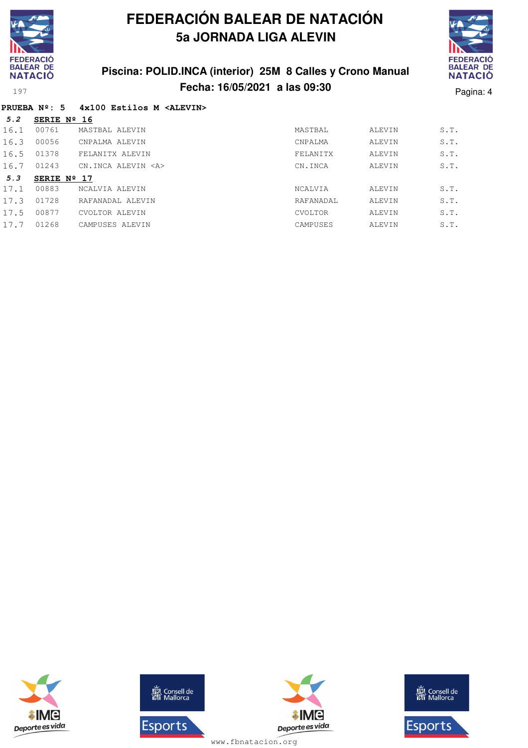

# **FEDERACIÓ BALEAR DE NATACIÓ**

### **Piscina: POLID.INCA (interior) 25M 8 Calles y Crono Manual Fecha: 16/05/2021 a las 09:30** Pagina: 4

#### **PRUEBA Nº: 5 4x100 Estilos M <ALEVIN>**

| 5.2  | SERIE $N^{\circ}$ 16 |                        |                |        |      |
|------|----------------------|------------------------|----------------|--------|------|
| 16.1 | 00761                | MASTBAL ALEVIN         | MASTBAL        | ALEVIN | S.T. |
| 16.3 | 00056                | CNPALMA ALEVIN         | CNPALMA        | ALEVIN | S.T. |
| 16.5 | 01378                | FELANITX ALEVIN        | FELANITX       | ALEVIN | S.T. |
| 16.7 | 01243                | CN.INCA ALEVIN <a></a> | CN.INCA        | ALEVIN | S.T. |
|      |                      |                        |                |        |      |
| 5.3  | SERIE $N^{\circ}$ 17 |                        |                |        |      |
| 17.1 | 00883                | NCALVIA ALEVIN         | <b>NCALVIA</b> | ALEVIN | S.T. |
| 17.3 | 01728                | RAFANADAL ALEVIN       | RAFANADAL      | ALEVIN | S.T. |
| 17.5 | 00877                | CVOLTOR ALEVIN         | CVOLTOR        | ALEVIN | S.T. |
| 17.7 | 01268                | CAMPUSES ALEVIN        | CAMPUSES       | ALEVIN | S.T. |





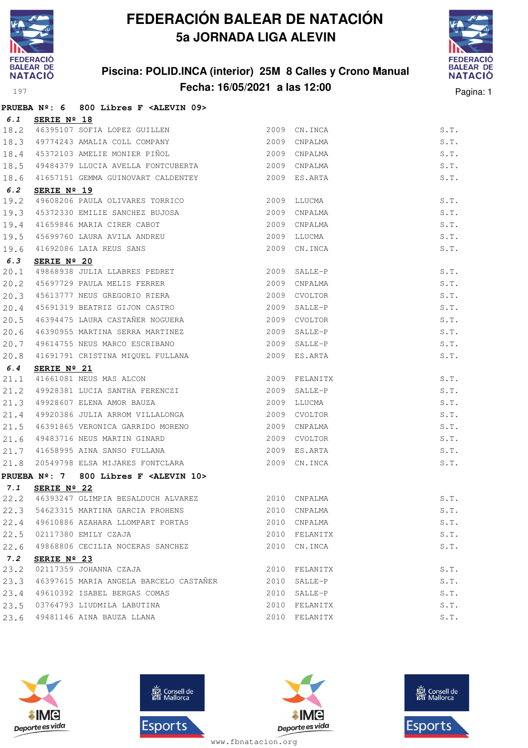

### **Piscina: POLID.INCA (interior) 25M 8 Calles y Crono Manual Fecha: 16/05/2021 a las 12:00** Pagina: 1



|      |                      | PRUEBA Nº: 6 800 Libres F <alevin 09=""></alevin>                                             |      |                    |              |
|------|----------------------|-----------------------------------------------------------------------------------------------|------|--------------------|--------------|
| 6.1  | SERIE Nº 18          |                                                                                               |      |                    |              |
|      |                      | 18.2 46395107 SOFIA LOPEZ GUILLEN                                                             |      | 2009 CN. INCA      | S.T.         |
| 18.3 |                      | 49774243 AMALIA COLL COMPANY                                                                  | 2009 | CNPALMA            | S.T.         |
| 18.4 |                      | 45372103 AMELIE MONIER PIÑOL                                                                  | 2009 | CNPALMA            | S.T.         |
| 18.5 |                      | 49484379 LLUCIA AVELLA FONTCUBERTA                                                            |      | 2009 CNPALMA       | S.T.         |
| 18.6 |                      | 41657151 GEMMA GUINOVART CALDENTEY                                                            |      | 2009 ES.ARTA       | S.T.         |
| 6.2  | SERIE Nº 19          |                                                                                               |      |                    |              |
| 19.2 |                      | 49608206 PAULA OLIVARES TORRICO                                                               | 2009 | LLUCMA             | S.T.         |
| 19.3 |                      | 45372330 EMILIE SANCHEZ BUJOSA                                                                | 2009 | CNPALMA            | S.T.         |
| 19.4 |                      |                                                                                               | 2009 | CNPALMA            | S.T.         |
| 19.5 |                      |                                                                                               | 2009 | LLUCMA             | S.T.         |
| 19.6 |                      | 41659846 MARIA CIRER CABOT<br>45699760 LAURA AVILA ANDREU<br>41692086 LAIA REUS SANS          |      | 2009 CN.INCA       | S.T.         |
| 6.3  | SERIE Nº 20          |                                                                                               |      |                    |              |
| 20.1 |                      | 49868938 JULIA LLABRES PEDRET                                                                 |      | 2009 SALLE-P       | S.T.         |
| 20.2 |                      | 45697729 PAULA MELIS FERRER                                                                   | 2009 | CNPALMA            | S.T.         |
| 20.3 |                      | 45613777 NEUS GREGORIO RIERA                                                                  | 2009 | CVOLTOR            | S.T.         |
| 20.4 |                      | 45691319 BEATRIZ GIJON CASTRO                                                                 | 2009 | SALLE-P            | S.T.         |
| 20.5 |                      | 46394475 LAURA CASTAÑER NOGUERA                                                               | 2009 | CVOLTOR            | S.T.         |
| 20.6 |                      | 46390955 MARTINA SERRA MARTINEZ                                                               | 2009 | SALLE-P            | S.T.         |
| 20.7 |                      | 49614755 NEUS MARCO ESCRIBANO                                                                 | 2009 | SALLE-P            | S.T.         |
| 20.8 |                      | 41691791 CRISTINA MIQUEL FULLANA                                                              |      | 2009 ES.ARTA       | S.T.         |
| 6.4  | SERIE $N^{\circ}$ 21 |                                                                                               |      |                    |              |
| 21.1 |                      | 41661081 NEUS MAS ALCON<br>11001 NEWS MES ALUON<br>49928381 LUCIA SANTHA FERENCZI<br>40000001 | 2009 | 2009 FELANITX      | S.T.<br>S.T. |
| 21.2 |                      | 49928607 ELENA AMOR BAUZA                                                                     | 2009 | SALLE-P            | S.T.         |
| 21.3 |                      |                                                                                               |      | LLUCMA             |              |
| 21.4 |                      | 49920386 JULIA ARROM VILLALONGA                                                               | 2009 | CVOLTOR            | S.T.         |
| 21.5 |                      | 46391865 VERONICA GARRIDO MORENO<br>49483716 NEUS MARTIN GINARD                               | 2009 | CNPALMA            | S.T.         |
| 21.6 |                      |                                                                                               | 2009 | CVOLTOR<br>ES.ARTA | S.T.         |
| 21.7 |                      | 41658995 AINA SANSO FULLANA<br>20549798 ELSA MIJARES FONTCLARA                                | 2009 |                    | S.T.         |
| 21.8 |                      |                                                                                               |      | 2009 CN.INCA       | S.T.         |
|      |                      | PRUEBA Nº: 7 800 Libres F <alevin 10=""></alevin>                                             |      |                    |              |
| 7.1  | SERIE $N^{\circ}$ 22 | 22.2 46393247 OLIMPIA BESALDUCH ALVAREZ                                                       |      | 2010 CNPALMA       | S.T.         |
| 22.3 |                      | 54623315 MARTINA GARCIA PROHENS                                                               |      | 2010 CNPALMA       | S.T.         |
| 22.4 |                      | 49610886 AZAHARA LLOMPART PORTAS                                                              |      | 2010 CNPALMA       | S.T.         |
| 22.5 |                      | 02117380 EMILY CZAJA                                                                          |      | 2010 FELANITX      | S.T.         |
| 22.6 |                      | 49868806 CECILIA NOCERAS SANCHEZ                                                              | 2010 | CN.INCA            | S.T.         |
| 7.2  | SERIE Nº 23          |                                                                                               |      |                    |              |
| 23.2 |                      | 02117359 JOHANNA CZAJA                                                                        | 2010 | FELANITX           | S.T.         |
| 23.3 |                      | 46397615 MARIA ANGELA BARCELO CASTAÑER                                                        | 2010 | SALLE-P            | S.T.         |
| 23.4 |                      | 49610392 ISABEL BERGAS COMAS                                                                  | 2010 | SALLE-P            | S.T.         |
| 23.5 |                      | 03764793 LIUDMILA LABUTINA                                                                    | 2010 | FELANITX           | S.T.         |
| 23.6 |                      | 49481146 AINA BAUZA LLANA                                                                     |      | 2010 FELANITX      | S.T.         |
|      |                      |                                                                                               |      |                    |              |







**感** Consell de Esports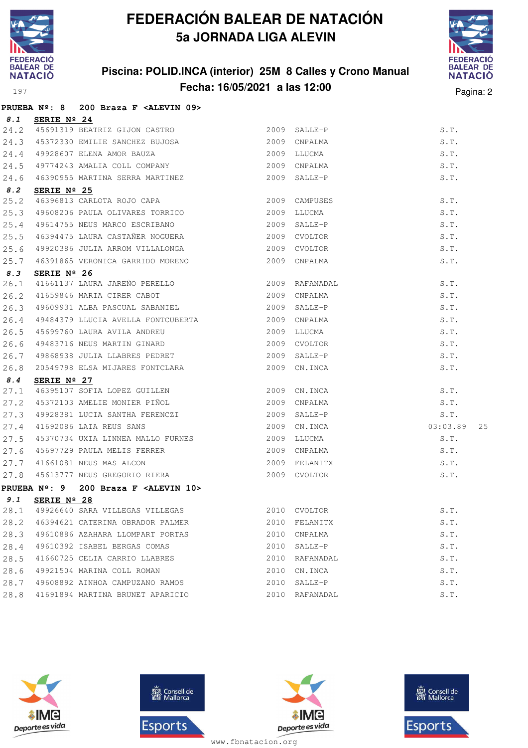

**PRUEBA Nº: 8 200 Braza F <ALEVIN 09>**

# **FEDERACIÓN BALEAR DE NATACIÓN 5a JORNADA LIGA ALEVIN**

#### **Piscina: POLID.INCA (interior) 25M 8 Calles y Crono Manual Fecha: 16/05/2021 a las 12:00** Pagina: 2



|      | FRUGDA N-. O                  | ZOO BLAZA F SADEVIN 032                                                                  |             |               |                |
|------|-------------------------------|------------------------------------------------------------------------------------------|-------------|---------------|----------------|
| 8.1  | SERIE Nº 24                   |                                                                                          |             |               |                |
|      |                               | 24.2 45691319 BEATRIZ GIJON CASTRO<br>24.3 45372330 EMILIE SANCHEZ BUJOSA 2009 CNPALMA   |             |               | S.T.           |
|      |                               |                                                                                          |             |               | S.T.           |
| 24.4 |                               | 49928607 ELENA AMOR BAUZA<br>49774243 AMALIA COLL COMPANY                                |             | 2009 LLUCMA   | S.T.           |
| 24.5 |                               |                                                                                          |             | 2009 CNPALMA  | S.T.           |
| 24.6 |                               | 46390955 MARTINA SERRA MARTINEZ                                                          |             | 2009 SALLE-P  | S.T.           |
| 8.2  | SERIE $N^{\circ}$ 25          |                                                                                          |             |               |                |
| 25.2 |                               | 46396813 CARLOTA ROJO CAPA                                                               |             | 2009 CAMPUSES | S.T.           |
| 25.3 |                               | 49608206 PAULA OLIVARES TORRICO                                                          | 2009        | LLUCMA        | S.T.           |
|      |                               | 25.4 49614755 NEUS MARCO ESCRIBANO 2009 SALLE-P                                          |             |               | S.T.           |
| 25.5 |                               | 46394475 LAURA CASTAÑER NOGUERA<br>40000006 -                                            |             | 2009 CVOLTOR  | S.T.           |
| 25.6 |                               | 49920386 JULIA ARROM VILLALONGA<br>2009 CVOLTOR                                          |             |               | S.T.           |
|      |                               | 25.7 46391865 VERONICA GARRIDO MORENO                                                    |             | 2009 CNPALMA  | S.T.           |
| 8.3  | SERIE Nº 26                   |                                                                                          |             |               |                |
| 26.1 |                               | 41661137 LAURA JAREÑO PERELLO (2009) RAFANADAL 41659846 MARIA CIRER CABOT (2009) CNPALMA |             |               | S.T.           |
| 26.2 |                               | 41659846 MARIA CIRER CABOT                                                               |             |               | S.T.           |
| 26.3 |                               | 49609931 ALBA PASCUAL SABANIEL 2009 SALLE-P                                              |             |               | S.T.           |
| 26.4 |                               | 49484379 LLUCIA AVELLA FONTCUBERTA 2009                                                  |             | CNPALMA       | S.T.           |
| 26.5 |                               | 45699760 LAURA AVILA ANDREU<br>49483716 NEUS MARTIN GINARD                               |             | 2009 LLUCMA   | S.T.           |
| 26.6 |                               |                                                                                          |             | 2009 CVOLTOR  | S.T.           |
| 26.7 |                               | 49868938 JULIA LLABRES PEDRET 2009 SALLE-P                                               |             |               | S.T.           |
|      |                               | 26.8 20549798 ELSA MIJARES FONTCLARA                                                     |             | 2009 CN. INCA | S.T.           |
| 8.4  | SERIE $N^{\circ}$ 27          |                                                                                          |             |               |                |
| 27.1 |                               |                                                                                          |             |               | S.T.           |
| 27.2 |                               | 46395107 SOFIA LOPEZ GUILLEN 2009 CN.INCA<br>45372103 AMELIE MONIER PIÑOL 2009 CNPALMA   |             |               | S.T.           |
| 27.3 |                               | 49928381 LUCIA SANTHA FERENCZI                                                           |             | 2009 SALLE-P  | S.T.           |
| 27.4 |                               | 41692086 LAIA REUS SANS                                                                  |             | 2009 CN.INCA  | 03:03.89<br>25 |
| 27.5 |                               | 45370734 UXIA LINNEA MALLO FURNES                                                        | 2009 LLUCMA |               | S.T.           |
| 27.6 |                               | 45697729 PAULA MELIS FERRER                                                              |             | 2009 CNPALMA  | S.T.           |
| 27.7 |                               | 41661081 NEUS MAS ALCON                                                                  |             | 2009 FELANITX | S.T.           |
| 27.8 |                               | 45613777 NEUS GREGORIO RIERA                                                             |             | 2009 CVOLTOR  | S.T.           |
|      | <b>PRUEBA</b> $N^{\circ}$ : 9 | 200 Braza F <alevin 10=""></alevin>                                                      |             |               |                |
| 9.1  | SERIE $N^{\circ}$ 28          |                                                                                          |             |               |                |
| 28.1 |                               | 49926640 SARA VILLEGAS VILLEGAS                                                          | 2010        | CVOLTOR       | S.T.           |
| 28.2 |                               | 46394621 CATERINA OBRADOR PALMER                                                         | 2010        | FELANITX      | S.T.           |
| 28.3 |                               | 49610886 AZAHARA LLOMPART PORTAS                                                         | 2010        | CNPALMA       | S.T.           |
| 28.4 |                               | 49610392 ISABEL BERGAS COMAS                                                             | 2010        | SALLE-P       | S.T.           |
| 28.5 |                               | 41660725 CELIA CARRIO LLABRES                                                            | 2010        | RAFANADAL     | S.T.           |
| 28.6 |                               | 49921504 MARINA COLL ROMAN                                                               | 2010        | CN.INCA       | S.T.           |
| 28.7 |                               | 49608892 AINHOA CAMPUZANO RAMOS                                                          | 2010        | SALLE-P       | S.T.           |
| 28.8 |                               | 41691894 MARTINA BRUNET APARICIO                                                         | 2010        | RAFANADAL     | S.T.           |
|      |                               |                                                                                          |             |               |                |